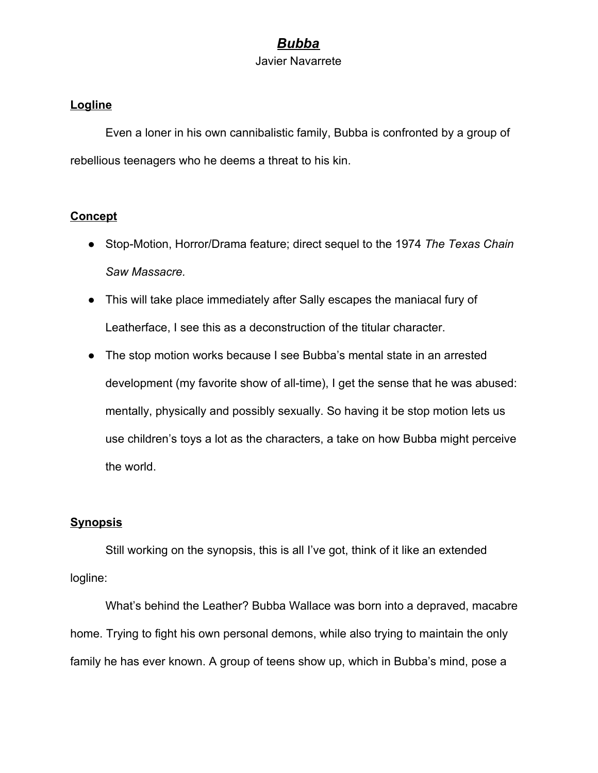# *Bubba*

#### Javier Navarrete

#### **Logline**

Even a loner in his own cannibalistic family, Bubba is confronted by a group of rebellious teenagers who he deems a threat to his kin.

### **Concept**

- Stop-Motion, Horror/Drama feature; direct sequel to the 1974 *The Texas Chain Saw Massacre.*
- This will take place immediately after Sally escapes the maniacal fury of Leatherface, I see this as a deconstruction of the titular character.
- The stop motion works because I see Bubba's mental state in an arrested development (my favorite show of all-time), I get the sense that he was abused: mentally, physically and possibly sexually. So having it be stop motion lets us use children's toys a lot as the characters, a take on how Bubba might perceive the world.

## **Synopsis**

Still working on the synopsis, this is all I've got, think of it like an extended logline:

What's behind the Leather? Bubba Wallace was born into a depraved, macabre home. Trying to fight his own personal demons, while also trying to maintain the only family he has ever known. A group of teens show up, which in Bubba's mind, pose a